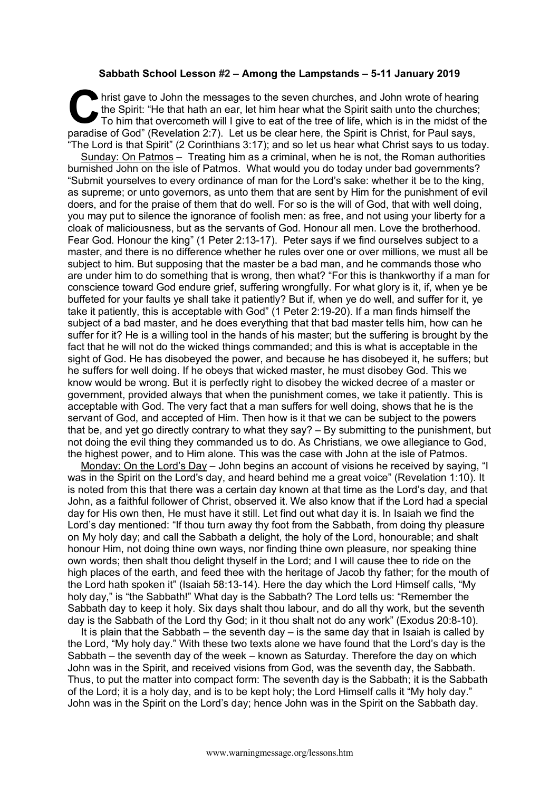## **Sabbath School Lesson #2 – Among the Lampstands – 5-11 January 2019**

hrist gave to John the messages to the seven churches, and John wrote of hearing<br>the Spirit: "He that hath an ear, let him hear what the Spirit saith unto the churches;<br>To him that overcometh will I give to eat of the tree the Spirit: "He that hath an ear, let him hear what the Spirit saith unto the churches; To him that overcometh will I give to eat of the tree of life, which is in the midst of the paradise of God" (Revelation 2:7). Let us be clear here, the Spirit is Christ, for Paul says, "The Lord is that Spirit" (2 Corinthians 3:17); and so let us hear what Christ says to us today.

Sunday: On Patmos – Treating him as a criminal, when he is not, the Roman authorities burnished John on the isle of Patmos. What would you do today under bad governments? "Submit yourselves to every ordinance of man for the Lord's sake: whether it be to the king, as supreme; or unto governors, as unto them that are sent by Him for the punishment of evil doers, and for the praise of them that do well. For so is the will of God, that with well doing, you may put to silence the ignorance of foolish men: as free, and not using your liberty for a cloak of maliciousness, but as the servants of God. Honour all men. Love the brotherhood. Fear God. Honour the king" (1 Peter 2:13-17). Peter says if we find ourselves subject to a master, and there is no difference whether he rules over one or over millions, we must all be subject to him. But supposing that the master be a bad man, and he commands those who are under him to do something that is wrong, then what? "For this is thankworthy if a man for conscience toward God endure grief, suffering wrongfully. For what glory is it, if, when ye be buffeted for your faults ye shall take it patiently? But if, when ye do well, and suffer for it, ye take it patiently, this is acceptable with God" (1 Peter 2:19-20). If a man finds himself the subject of a bad master, and he does everything that that bad master tells him, how can he suffer for it? He is a willing tool in the hands of his master; but the suffering is brought by the fact that he will not do the wicked things commanded; and this is what is acceptable in the sight of God. He has disobeyed the power, and because he has disobeyed it, he suffers; but he suffers for well doing. If he obeys that wicked master, he must disobey God. This we know would be wrong. But it is perfectly right to disobey the wicked decree of a master or government, provided always that when the punishment comes, we take it patiently. This is acceptable with God. The very fact that a man suffers for well doing, shows that he is the servant of God, and accepted of Him. Then how is it that we can be subject to the powers that be, and yet go directly contrary to what they say? – By submitting to the punishment, but not doing the evil thing they commanded us to do. As Christians, we owe allegiance to God, the highest power, and to Him alone. This was the case with John at the isle of Patmos.

Monday: On the Lord's Day – John begins an account of visions he received by saying, "I was in the Spirit on the Lord's day, and heard behind me a great voice" (Revelation 1:10). It is noted from this that there was a certain day known at that time as the Lord's day, and that John, as a faithful follower of Christ, observed it. We also know that if the Lord had a special day for His own then, He must have it still. Let find out what day it is. In Isaiah we find the Lord's day mentioned: "If thou turn away thy foot from the Sabbath, from doing thy pleasure on My holy day; and call the Sabbath a delight, the holy of the Lord, honourable; and shalt honour Him, not doing thine own ways, nor finding thine own pleasure, nor speaking thine own words; then shalt thou delight thyself in the Lord; and I will cause thee to ride on the high places of the earth, and feed thee with the heritage of Jacob thy father; for the mouth of the Lord hath spoken it" (Isaiah 58:13-14). Here the day which the Lord Himself calls, "My holy day," is "the Sabbath!" What day is the Sabbath? The Lord tells us: "Remember the Sabbath day to keep it holy. Six days shalt thou labour, and do all thy work, but the seventh day is the Sabbath of the Lord thy God; in it thou shalt not do any work" (Exodus 20:8-10).

It is plain that the Sabbath – the seventh day – is the same day that in Isaiah is called by the Lord, "My holy day." With these two texts alone we have found that the Lord's day is the Sabbath – the seventh day of the week – known as Saturday. Therefore the day on which John was in the Spirit, and received visions from God, was the seventh day, the Sabbath. Thus, to put the matter into compact form: The seventh day is the Sabbath; it is the Sabbath of the Lord; it is a holy day, and is to be kept holy; the Lord Himself calls it "My holy day." John was in the Spirit on the Lord's day; hence John was in the Spirit on the Sabbath day.